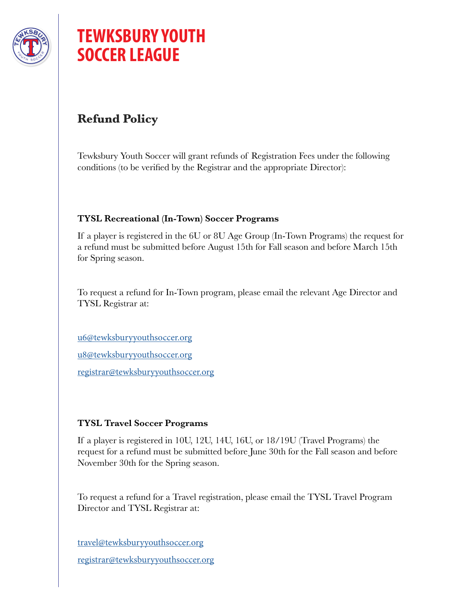

# **TEWKSBURY YOUTH SOCCER LEAGUE**

## **Refund Policy**

Tewksbury Youth Soccer will grant refunds of Registration Fees under the following conditions (to be verified by the Registrar and the appropriate Director):

### **TYSL Recreational (In-Town) Soccer Programs**

If a player is registered in the 6U or 8U Age Group (In-Town Programs) the request for a refund must be submitted before August 15th for Fall season and before March 15th for Spring season.

To request a refund for In-Town program, please email the relevant Age Director and TYSL Registrar at:

[u6@tewksburyyouthsoccer.org](mailto:u6%40tewksburyyouthsoccer.org?subject=Refund%20Request) [u8@tewksburyyouthsoccer.org](mailto:u8%40tewksburyyouthsoccer.org?subject=Refund%20Request)

[registrar@tewksburyyouthsoccer.org](mailto:registrar%40tewksburyyouthsoccer.org?subject=Refund%20Request)

### **TYSL Travel Soccer Programs**

If a player is registered in 10U, 12U, 14U, 16U, or 18/19U (Travel Programs) the request for a refund must be submitted before June 30th for the Fall season and before November 30th for the Spring season.

To request a refund for a Travel registration, please email the TYSL Travel Program Director and TYSL Registrar at:

[travel@tewksburyyouthsoccer.org](mailto:travel%40tewksburyyouthsoccer.org?subject=Refund%20Request)

[registrar@tewksburyyouthsoccer.org](mailto:registrar%40tewksburyyouthsoccer.org?subject=Refund%20Request)